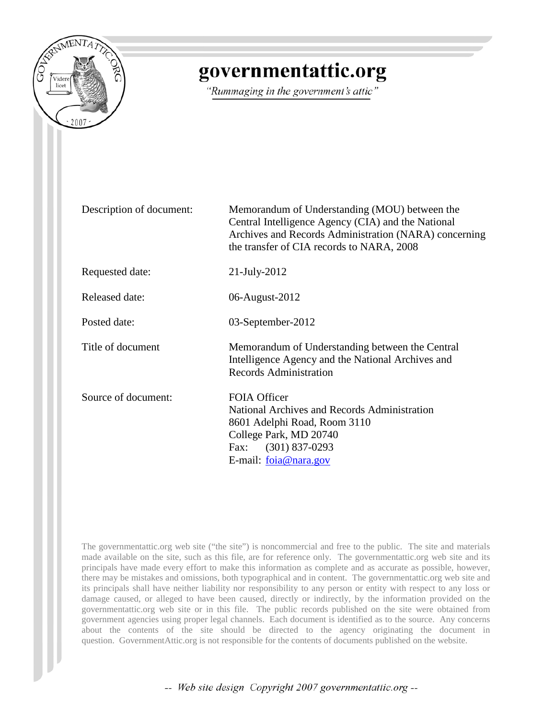

# governmentattic.org

"Rummaging in the government's attic"

| Description of document: | Memorandum of Understanding (MOU) between the<br>Central Intelligence Agency (CIA) and the National<br>Archives and Records Administration (NARA) concerning<br>the transfer of CIA records to NARA, 2008 |
|--------------------------|-----------------------------------------------------------------------------------------------------------------------------------------------------------------------------------------------------------|
| Requested date:          | $21$ -July-2012                                                                                                                                                                                           |
| <b>Released date:</b>    | 06-August-2012                                                                                                                                                                                            |
| Posted date:             | 03-September-2012                                                                                                                                                                                         |
| Title of document        | Memorandum of Understanding between the Central<br>Intelligence Agency and the National Archives and<br><b>Records Administration</b>                                                                     |
| Source of document:      | <b>FOIA Officer</b><br>National Archives and Records Administration<br>8601 Adelphi Road, Room 3110<br>College Park, MD 20740<br>Fax: (301) 837-0293<br>E-mail: $foia@nara.gov$                           |

The governmentattic.org web site ("the site") is noncommercial and free to the public. The site and materials made available on the site, such as this file, are for reference only. The governmentattic.org web site and its principals have made every effort to make this information as complete and as accurate as possible, however, there may be mistakes and omissions, both typographical and in content. The governmentattic.org web site and its principals shall have neither liability nor responsibility to any person or entity with respect to any loss or damage caused, or alleged to have been caused, directly or indirectly, by the information provided on the governmentattic.org web site or in this file. The public records published on the site were obtained from government agencies using proper legal channels. Each document is identified as to the source. Any concerns about the contents of the site should be directed to the agency originating the document in question. GovernmentAttic.org is not responsible for the contents of documents published on the website.

-- Web site design Copyright 2007 governmentattic.org --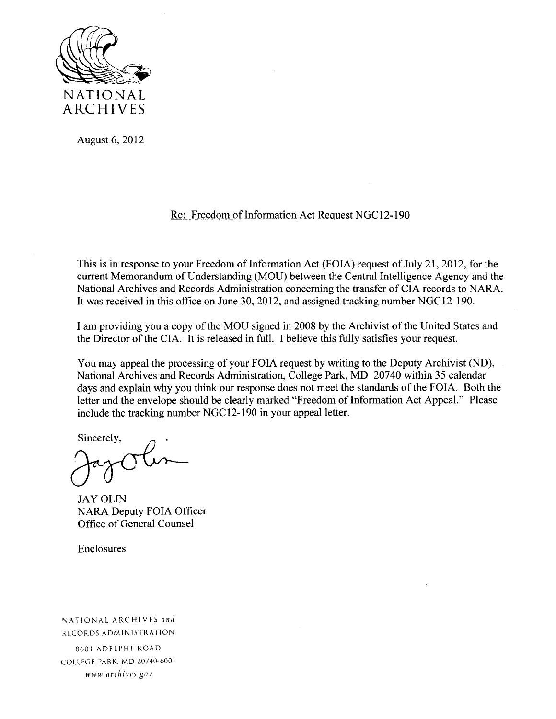

August 6, 2012

# Re: Freedom of Information Act Request NGC12-190

This is in response to your Freedom of Information Act (FOIA) request of July 21, 2012, for the current Memorandum of Understanding (MOU) between the Central Intelligence Agency and the National Archives and Records Administration concerning the transfer of CIA records to NARA. It was received in this office on June 30, 2012, and assigned tracking number NGC12-190.

I am providing you a copy of the MOU signed in 2008 by the Archivist of the United States and the Director of the CIA. It is released in full. I believe this fully satisfies your request.

You may appeal the processing of your FOIA request by writing to the Deputy Archivist (ND), National Archives and Records Administration, College Park, MD 20740 within 35 calendar days and explain why you think our response does not meet the standards of the FOIA. Both the letter and the envelope should be clearly marked "Freedom of Information Act Appeal." Please include the tracking number NGC12-190 in your appeal letter.

Sincerely,

JAY OLIN NARA Deputy FOIA Officer Office of General Counsel

Enclosures

NATIONAL ARCHIVES *ar1d*  RECORDS ADMINISTRATION 8601 ADELPHI ROAD COLLEGE PARK. MD 20740-6001 *www.archives.gov*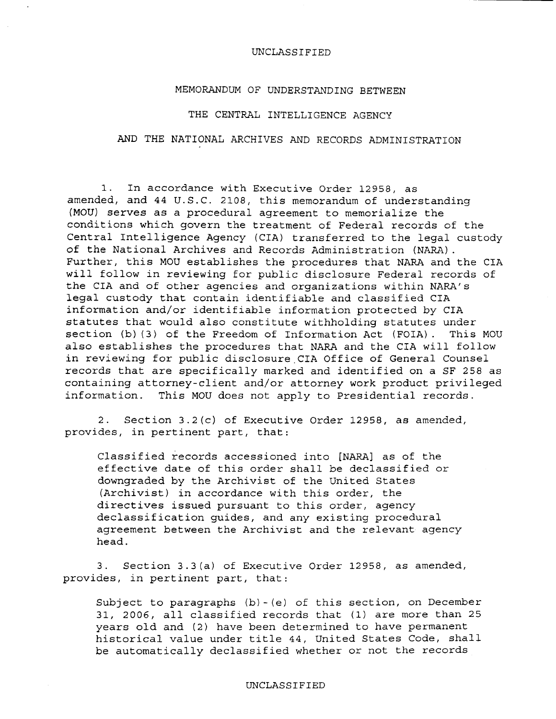## MEMORANDUM OF UNDERSTANDING BETWEEN

## THE CENTRAL INTELLIGENCE AGENCY

# AND THE NATIONAL ARCHIVES AND RECORDS ADMINISTRATION

1. In accordance with Executive Order 12958, as amended, and 44 U.S.C. 2108, this memorandum of understanding (MOU) serves as a procedural agreement to memorialize the conditions which govern the treatment of Federal records of the Central Intelligence Agency (CIA) transferred to the legal custody of the National Archives and Records Administration (NARA). Further, this MOU establishes the procedures that NARA and the CIA will follow in reviewing for public disclosure Federal records of the CIA and of other agencies and organizations within NARA's legal custody that contain identifiable and classified CIA information and/or identifiable information protected by CIA statutes that would also constitute withholding statutes under section (b) (3) of the Freedom of Information Act (FOIA). This MOU also establishes the procedures that NARA and the CIA will follow in reviewing for public disclosure CIA Office of General Counsel records that are specifically marked and identified on a SF 258 as containing attorney-client and/or attorney work product privileged information. This MOU does not apply to Presidential records.

2. Section 3.2(c) of Executive Order 12958, as amended, provides, in pertinent part, that:

Classified records accessioned into [NARA] as of the effective date of this order shall be declassified or downgraded by the Archivist of the United States (Archivist) in accordance with this order, the directives issued pursuant to this order, agency declassification guides, and any existing procedural agreement between the Archivist and the relevant agency head.

3. Section 3.3(a) of Executive Order 12958, as amended, provides, in pertinent part, that:

Subject to paragraphs (b)-{e) of this section, on December 31, 2006, all classified records that (1) are more than 25 years old and (2) have been determined to have permanent historical value under title 44, United States Code, shall be automatically declassified whether or not the records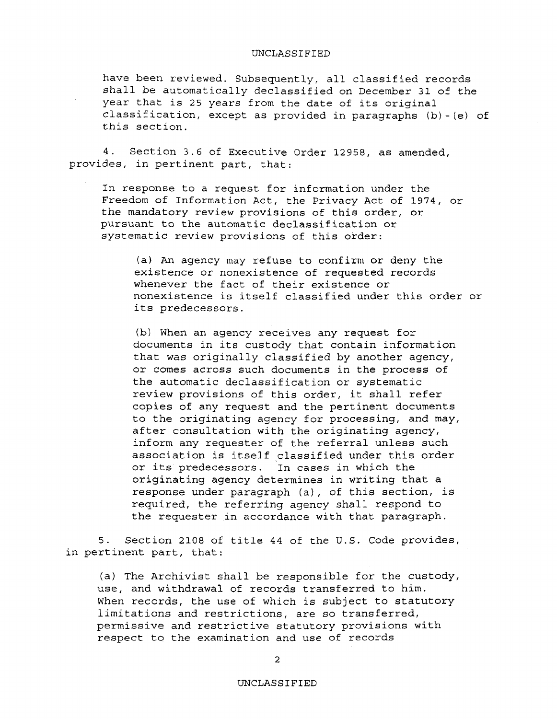have been reviewed. Subsequently, all classified records shall be automatically declassified on December 31 of the year that is 25 years from the date of its original classification, except as provided in paragraphs (b)-(e) of this section.

4. Section 3.6 of Executive Order 12958, as amended, provides, in pertinent part, that:

In response to a request for information under the Freedom of Information Act, the Privacy Act of 1974, or the mandatory review provisions of this order, or pursuant to the automatic declassification or systematic review provisions of this order:

(a) An agency may refuse to confirm or deny the existence or nonexistence of requested records whenever the fact of their existence or nonexistence is itself classified under this order or its predecessors.

(b) When an agency receives any request for documents in its custody that contain information that was originally classified by another agency, or comes across such documents in the process of the automatic declassification or systematic review provisions of this order, it shall refer copies of any request and the pertinent documents to the originating agency for processing, and may, after consultation with the originating agency, inform any requester of the referral unless such association is itself classified under this order or its predecessors. In cases in which the originating agency determines in writing that a response under paragraph (a), of this section, is required, the referring agency shall respond to the requester in accordance with that paragraph.

5. Section 2108 of title 44 of the U.S. Code provides, in pertinent part, that:

(a) The Archivist shall be responsible for the custody, use, and withdrawal of records transferred to him. When records, the use of which is subject to statutory limitations and restrictions, are so transferred, permissive and restrictive statutory provisions with respect to the examination and use of records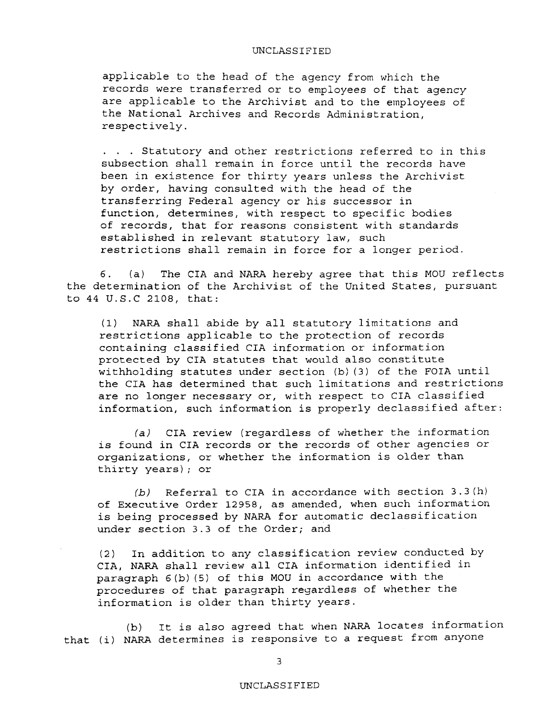applicable to the head of the agency from which the records were transferred or to employees of that agency are applicable to the Archivist and to the employees of the National Archives and Records Administration, respectively .

... Statutory and other restrictions referred to in this subsection shall remain in force until the records have been in existence for thirty years unless the Archivist by order, having consulted with the head of the transferring Federal agency or his successor in function, determines, with respect to specific bodies of records, that for reasons consistent with standards established in relevant statutory law, such restrictions shall remain in force for a longer period.

6. (a) The CIA and NARA hereby agree that this MOU reflects the determination of the Archivist of the United States, pursuant to 44 U.S.C 2108, that:

(1) NARA shall abide by all statutory limitations and restrictions applicable to the protection of records containing classified CIA information or information protected by CIA statutes that would also constitute withholding statutes under section (b) (3) of the FOIA until the CIA has determined that such limitations and restrictions are no longer necessary or, with respect to CIA classified information, such information is properly declassified after:

*(a)* CIA review (regardless of whether the information is found in CIA records or the records of other agencies or organizations, or whether the information is older than thirty years); or

*(b)* Referral to CIA in accordance with section 3.3(h) of Executive Order 12958, as amended, when such information is being processed by NARA for automatic declassification under section 3.3 of the Order; and

(2) In addition to any classification review conducted by CIA, NARA shall review all CIA information identified in paragraph 6(b) (5) of this MOU in accordance with the procedures of that paragraph regardless of whether the information is older than thirty years.

(b) It is also agreed that when NARA locates information that (i) NARA determines is responsive to a request from anyone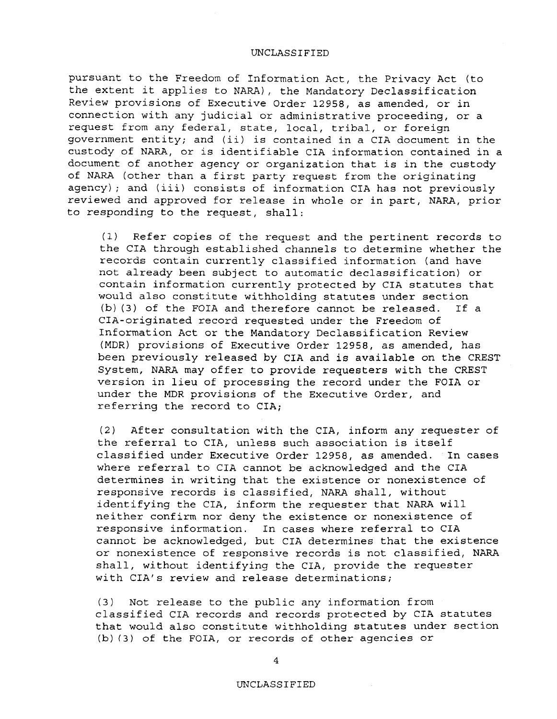pursuant to the Freedom of Information Act, the Privacy Act (to the extent it applies to NARA), the Mandatory Declassification Review provisions of Executive Order 12958, as amended, or *in*  connection with any judicial or administrative proceeding, or a request from any federal, state, local, tribal, or foreign government entity; and (ii) is contained in a CIA document in the custody of NARA, or is identifiable CIA information contained in a document of another agency or organization that is in the custody of NARA (other than a first party request from the originating agency); and (iii) consists of information CIA has not previously reviewed and approved for release in whole or in part, NARA, prior to responding to the request, shall:

(1) Refer copies of the request and the pertinent records to the CIA through established channels to determine whether the records contain currently classified information (and have not already been subject to automatic declassification) or contain information currently protected by CIA statutes that would also constitute withholding statutes under section (b) (3) of the FOIA and therefore cannot be released. If a CIA-originated record requested under the Freedom of Information Act or the Mandatory Declassification Review (MDR) provisions of Executive Order 12958, as amended, has been previously released by CIA and is available on the CREST System, NARA may offer to provide requesters with the CREST version in lieu of processing the record under the FOIA or under the MDR provisions of the Executive Order, and referring the record to CIA;

(2) After consultation with the CIA, inform any requester of the referral to CIA, unless such association is itself classified under Executive Order 12958, as amended. In cases where referral to CIA cannot be acknowledged and the CIA determines in writing that the existence or nonexistence of responsive records is classified, NARA shall, without identifying the CIA, inform the requester that NARA will neither confirm nor deny the existence or nonexistence of responsive information. In cases where referral to CIA cannot be acknowledged, but CIA determines that the existence or nonexistence of responsive records is not classified, NARA shall, without identifying the CIA, provide the requester with CIA's review and release determinations;

(3) Not release to the public any information from classified CIA records and records protected by CIA statutes that would also constitute withholding statutes under section {b) (3) of the FOIA, or records of other agencies or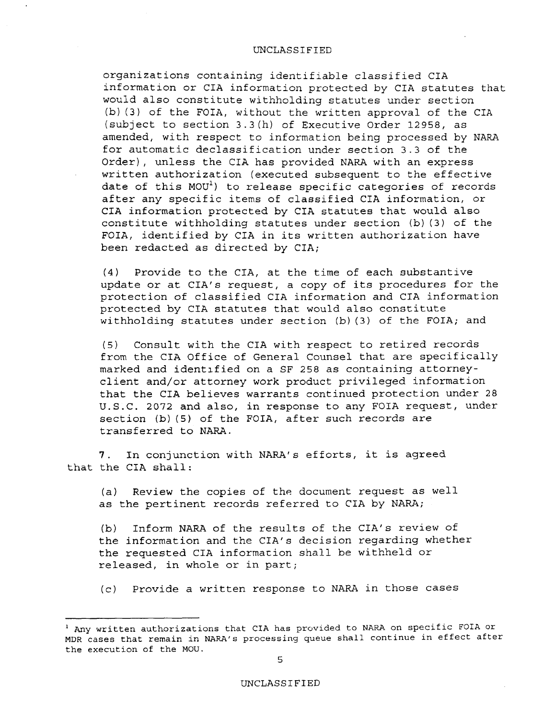organizations containing identifiable classified CIA information or CIA information protected by CIA statutes that would also constitute withholding statutes under section (b) (3} of the FOIA, without the written approval of the CIA (subject to section 3.3(h) of Executive Order 12958, as amended, with respect to information being processed by NARA for automatic declassification under section 3.3 of the Order), unless the CIA has provided NARA with an express written authorization (executed subsequent to the effective date of this MOU<sup>1</sup>) to release specific categories of records after any specific items of classified CIA information, or CIA information protected by CIA statutes that would also constitute withholding statutes under section (b) (3) of the FOIA, identified by CIA in its written authorization have been redacted as directed by CIA;

(4) Provide to the CIA, at the time of each substantive update or at CIA's request, a copy of its procedures for the protection of classified CIA information and CIA information protected by CIA statutes that would also constitute withholding statutes under section (b) (3) of the FOIA; and

(5) Consult with the CIA with respect to retired records from the CIA Office of General Counsel that are specifically marked and identified on a SF 258 as containing attorneyclient and/or attorney work product privileged information that the CIA believes warrants continued protection under 28 U.S.C. 2072 and also, in response to any FOIA request, under section (b) (5) of the FOIA, after such records are transferred to NARA.

7. In conjunction with NARA's efforts, it is agreed that the CIA shall:

(a) Review the copies of the document request as well as the pertinent records referred to CIA by NARA;

(b) Inform NARA of the results of the CIA's review of the information and the CIA's decision regarding whether the requested CIA informacion shall be withheld or released, in whole or in part;

(c) Provide a written response to NARA in those cases

<sup>&</sup>lt;sup>1</sup> Any written authorizations that CIA has provided to NARA on specific FOIA or MDR cases that remain in NARA's processing queue shall continue in effect after the execution of the MOU.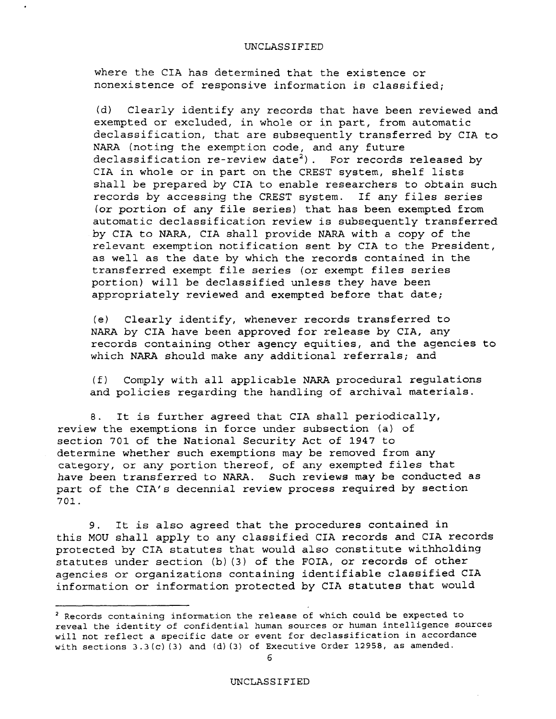where the CIA has determined that the existence or nonexistence of responsive information is classified;

(d) Clearly identify any records that have been reviewed and exempted or excluded, in whole or in part, from automatic declassification, that are subsequently transferred by CIA to NARA (noting the exemption code, and any future declassification re-review date<sup>2</sup>). For records released by CIA in whole or in part on the CREST system, shelf lists shall be prepared by CIA to enable researchers to obtain such records by accessing the CREST system. If any files series (or portion of any file series) that has been exempted from automatic declassification review is subsequently transferred by CIA to NARA, CIA shall provide NARA with a copy of the relevant exemption notification sent by CIA to the President, as well as the date by which the records contained in the transferred exempt file series (or exempt files series portion) will be declassified unless they have been appropriately reviewed and exempted before that date;

(e) Clearly identify, whenever records transferred to NARA by CIA have been approved for release by CIA, any records containing other agency equities, and the agencies to which NARA should make any additional referrals; and

(f) Comply with all applicable NARA procedural regulations and policies regarding the handling of archival materials.

B. It is further agreed that CIA shall periodically, review the exemptions in force under subsection (a) of section 701 of the National Security Act of 1947 to determine whether such exemptions may be removed from any category, or any portion thereof, of any exempted files that *have* been transferred to NARA. Such reviews may be conducted as part of the CIA's decennial review process required by section 701.

9. It is also agreed that the procedures contained in this MOU shall apply to any classified CIA records and CIA records protected by CIA statutes that would also constitute withholding statutes under section (b) (3) of the FOIA, or records of other agencies or organizations containing identifiable classified CIA information or information protected by CIA statutes that would

<sup>2</sup> Records containing information the release of which could be expected to reveal the identity of confidential human sources or human intelligence sources will not reflect a specific date or event for declassification in accordance with sections 3.3(c) (3) and (d) (3) of Executive Order 12958, as amended.